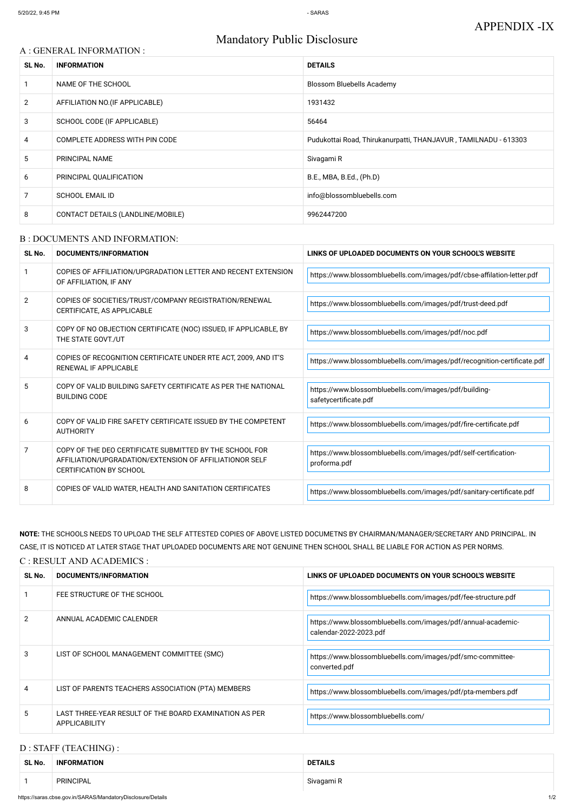# Mandatory Public Disclosure

#### A : GENERAL INFORMATION :

| SL No.         | <b>INFORMATION</b>                | <b>DETAILS</b>                                                  |  |
|----------------|-----------------------------------|-----------------------------------------------------------------|--|
|                | NAME OF THE SCHOOL                | <b>Blossom Bluebells Academy</b>                                |  |
| $\overline{2}$ | AFFILIATION NO. (IF APPLICABLE)   | 1931432                                                         |  |
| 3              | SCHOOL CODE (IF APPLICABLE)       | 56464                                                           |  |
| 4              | COMPLETE ADDRESS WITH PIN CODE    | Pudukottai Road, Thirukanurpatti, THANJAVUR, TAMILNADU - 613303 |  |
| 5              | PRINCIPAL NAME                    | Sivagami R                                                      |  |
| 6              | PRINCIPAL QUALIFICATION           | B.E., MBA, B.Ed., (Ph.D)                                        |  |
|                | <b>SCHOOL EMAIL ID</b>            | info@blossombluebells.com                                       |  |
| 8              | CONTACT DETAILS (LANDLINE/MOBILE) | 9962447200                                                      |  |

#### B : DOCUMENTS AND INFORMATION:

| SL No.         | DOCUMENTS/INFORMATION                                                                                                                                | LINKS OF UPLOADED DOCUMENTS ON YOUR SCHOOL'S WEBSITE                            |  |
|----------------|------------------------------------------------------------------------------------------------------------------------------------------------------|---------------------------------------------------------------------------------|--|
|                | COPIES OF AFFILIATION/UPGRADATION LETTER AND RECENT EXTENSION<br>OF AFFILIATION, IF ANY                                                              | https://www.blossombluebells.com/images/pdf/cbse-affilation-letter.pdf          |  |
| $\overline{2}$ | COPIES OF SOCIETIES/TRUST/COMPANY REGISTRATION/RENEWAL<br>CERTIFICATE, AS APPLICABLE                                                                 | https://www.blossombluebells.com/images/pdf/trust-deed.pdf                      |  |
| 3              | COPY OF NO OBJECTION CERTIFICATE (NOC) ISSUED, IF APPLICABLE, BY<br>THE STATE GOVT./UT                                                               | https://www.blossombluebells.com/images/pdf/noc.pdf                             |  |
| 4              | COPIES OF RECOGNITION CERTIFICATE UNDER RTE ACT, 2009, AND IT'S<br><b>RENEWAL IF APPLICABLE</b>                                                      | https://www.blossombluebells.com/images/pdf/recognition-certificate.pdf         |  |
| 5              | COPY OF VALID BUILDING SAFETY CERTIFICATE AS PER THE NATIONAL<br><b>BUILDING CODE</b>                                                                | https://www.blossombluebells.com/images/pdf/building-<br>safetycertificate.pdf  |  |
| 6              | COPY OF VALID FIRE SAFETY CERTIFICATE ISSUED BY THE COMPETENT<br><b>AUTHORITY</b>                                                                    | https://www.blossombluebells.com/images/pdf/fire-certificate.pdf                |  |
| 7              | COPY OF THE DEO CERTIFICATE SUBMITTED BY THE SCHOOL FOR<br>AFFILIATION/UPGRADATION/EXTENSION OF AFFILIATIONOR SELF<br><b>CERTIFICATION BY SCHOOL</b> | https://www.blossombluebells.com/images/pdf/self-certification-<br>proforma.pdf |  |
| 8              | COPIES OF VALID WATER, HEALTH AND SANITATION CERTIFICATES                                                                                            | https://www.blossombluebells.com/images/pdf/sanitary-certificate.pdf            |  |

**NOTE:** THE SCHOOLS NEEDS TO UPLOAD THE SELF ATTESTED COPIES OF ABOVE LISTED DOCUMETNS BY CHAIRMAN/MANAGER/SECRETARY AND PRINCIPAL. IN CASE, IT IS NOTICED AT LATER STAGE THAT UPLOADED DOCUMENTS ARE NOT GENUINE THEN SCHOOL SHALL BE LIABLE FOR ACTION AS PER NORMS. C : RESULT AND ACADEMICS :

| SL No. | DOCUMENTS/INFORMATION       | LINKS OF UPLOADED DOCUMENTS ON YOUR SCHOOL'S WEBSITE          |
|--------|-----------------------------|---------------------------------------------------------------|
|        | FEE STRUCTURE OF THE SCHOOL | https://www.blossombluebells.com/images/pdf/fee-structure.pdf |

| $\mathcal{P}$ | ANNUAL ACADEMIC CALENDER                                                | https://www.blossombluebells.com/images/pdf/annual-academic-<br>calendar-2022-2023.pdf |
|---------------|-------------------------------------------------------------------------|----------------------------------------------------------------------------------------|
| 3             | LIST OF SCHOOL MANAGEMENT COMMITTEE (SMC)                               | https://www.blossombluebells.com/images/pdf/smc-committee-<br>converted.pdf            |
| 4             | LIST OF PARENTS TEACHERS ASSOCIATION (PTA) MEMBERS                      | https://www.blossombluebells.com/images/pdf/pta-members.pdf                            |
| 5             | LAST THREE-YEAR RESULT OF THE BOARD EXAMINATION AS PER<br>APPLICABILITY | https://www.blossombluebells.com/                                                      |

## D : STAFF (TEACHING) :

| SL No.                                          | <b>INFORMATION</b> | <b>DETAILS</b> |  |
|-------------------------------------------------|--------------------|----------------|--|
| the contract of the contract of the contract of |                    |                |  |
|                                                 | PRINCIPAL          | Sivagami R     |  |